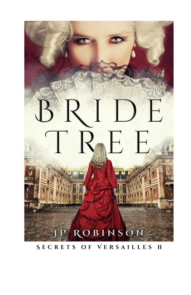

SECRETS OF VERSAILLES II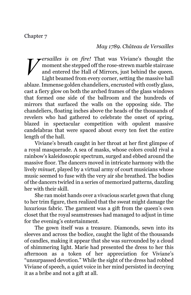### *May 1789. Château de Versailles*

*ersailles is on fire!* That was Viviane's thought the moment she stepped off the rose-strewn marble staircase and entered the Hall of Mirrors, just behind the queen. Light beamed from every corner, setting the massive hall ablaze. Immense golden chandeliers, encrusted with costly glass, cast a fiery glow on both the arched frames of the glass windows that formed one side of the ballroom and the hundreds of mirrors that surfaced the walls on the opposing side. The chandeliers, floating inches above the heads of the thousands of revelers who had gathered to celebrate the onset of spring, blazed in spectacular competition with opulent massive candelabras that were spaced about every ten feet the entire length of the hall. *V*

Viviane's breath caught in her throat at her first glimpse of a royal masquerade. A sea of masks, whose colors could rival a rainbow's kaleidoscopic spectrum, surged and ebbed around the massive floor. The dancers moved in intricate harmony with the lively *minuet*, played by a virtual army of court musicians whose music seemed to fuse with the very air she breathed. The bodies of the dancers twirled in a series of memorized patterns, dazzling her with their skill.

She ran moist hands over a vivacious scarlet gown that clung to her trim figure, then realized that the sweat might damage the luxurious fabric. The garment was a gift from the queen's own closet that the royal seamstresses had managed to adjust in time for the evening's entertainment.

The gown itself was a treasure. Diamonds, sewn into its sleeves and across the bodice, caught the light of the thousands of candles, making it appear that she was surrounded by a cloud of shimmering light. Marie had presented the dress to her this afternoon as a token of her appreciation for Viviane's "unsurpassed devotion." While the sight of the dress had robbed Viviane of speech, a quiet voice in her mind persisted in decrying it as a bribe and not a gift at all.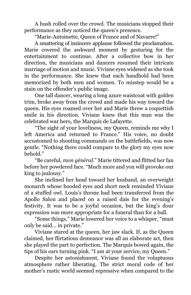A hush rolled over the crowd. The musicians stopped their performance as they noticed the queen's presence.

"Marie-Antoinette, Queen of France and of Navarre!"

A smattering of insincere applause followed the proclamation. Marie covered the awkward moment by gesturing for the entertainment to continue. After a collective bow in her direction, the musicians and dancers resumed their intricate marriage of motion and music. Viviane eyes widened as she took in the performance. She knew that each handhold had been memorized by both men and women. To misstep would be a stain on the offender's public image.

One tall dancer, wearing a long azure waistcoat with golden trim, broke away from the crowd and made his way toward the queen. His eyes roamed over her and Marie threw a coquettish smile in his direction. Viviane knew that this man was the celebrated war hero, the Marquis de Lafayette.

"The sight of your loveliness, my Queen, reminds me why I left America and returned to France." His voice, no doubt accustomed to shouting commands on the battlefields, was now gentle. "Nothing there could compare to the glory my eyes now behold."

"Be careful, *mon général.*" Marie tittered and flitted her fan before her powdered face. "Much more and you will provoke our king to jealousy."

She inclined her head toward her husband, an overweight monarch whose hooded eyes and short neck reminded Viviane of a stuffed owl. Louis's throne had been transferred from the Apollo Salon and placed on a raised dais for the evening's festivity. It was to be a joyful occasion, but the king's dour expression was more appropriate for a funeral than for a ball.

"Some things," Marie lowered her voice to a whisper, "must only be said… in private."

Viviane stared at the queen, her jaw slack. If, as the Queen claimed, her flirtatious demeanor was all an elaborate act, then she played the part to perfection. The Marquis bowed again, the tips of his ears turning pink. "I am at your service, my Queen."

Despite her astonishment, Viviane found the voluptuous atmosphere rather liberating. The strict moral code of her mother's rustic world seemed repressive when compared to the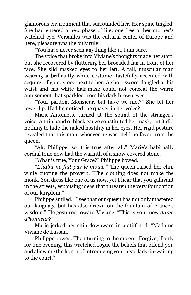glamorous environment that surrounded her. Her spine tingled. She had entered a new phase of life, one free of her mother's watchful eye. Versailles was the cultural center of Europe and here, pleasure was the only rule.

"You have never seen anything like it, I am sure."

The voice that broke into Viviane's thoughts made her start, but she recovered by fluttering her brocaded fan in front of her face. She slid masked eyes to her left. A tall, muscular man wearing a brilliantly white costume, tastefully accented with sequins of gold, stood next to her. A short sword dangled at his waist and his white half-mask could not conceal the warm amusement that sparkled from his dark brown eyes.

"Your pardon, Monsieur, but have we met?" She bit her lower lip. Had he noticed the quaver in her voice?

Marie-Antoinette turned at the sound of the stranger's voice. A thin band of black gauze constituted her mask, but it did nothing to hide the naked hostility in her eyes. Her rigid posture revealed that this man, whoever he was, held no favor from the queen.

"Ah, Philippe, so it is true after all." Marie's habitually cordial tone now had the warmth of a snow-covered stone.

"What is true, Your Grace?" Philippe bowed.

"*L'habit ne fait pas le moine.*" The queen raised her chin while quoting the proverb. "The clothing does not make the monk. You dress like one of us now, yet I hear that you gallivant in the streets, espousing ideas that threaten the very foundation of our kingdom."

Philippe smiled. "I see that our queen has not only mastered our language but has also drawn on the fountain of France's wisdom." He gestured toward Viviane. "This is your new *dame d'honneur?"*

Marie jerked her chin downward in a stiff nod. "Madame Viviane de Lussan."

Philippe bowed. Then turning to the queen, "Forgive, if only for one evening, this wretched rogue the beliefs that offend you and allow me the honor of introducing your head lady-in-waiting to the court."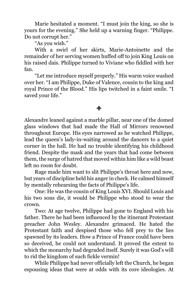Marie hesitated a moment. "I must join the king, so she is yours for the evening." She held up a warning finger. "Philippe. Do not corrupt her."

"As you wish."

With a swirl of her skirts, Marie-Antoinette and the remainder of her serving women huffed off to join King Louis on his raised dais. Philippe turned to Viviane who fiddled with her fan.

"Let me introduce myself properly." His warm voice washed over her. "I am Philippe, Duke of Valence, cousin to the king and royal Prince of the Blood." His lips twitched in a faint smile. "I saved your life."

# $\blacklozenge$

Alexandre leaned against a marble pillar, near one of the domed glass windows that had made the Hall of Mirrors renowned throughout Europe. His eyes narrowed as he watched Philippe, lead the queen's lady-in-waiting around the dancers to a quiet corner in the hall. He had no trouble identifying his childhood friend. Despite the mask and the years that had come between them, the surge of hatred that moved within him like a wild beast left no room for doubt.

Rage made him want to slit Philippe's throat here and now, but years of discipline held his anger in check. He calmed himself by mentally rehearsing the facts of Philippe's life.

One: He was the cousin of King Louis XVI. Should Louis and his two sons die, it would be Philippe who stood to wear the crown.

Two: At age twelve, Philippe had gone to England with his father. There he had been influenced by the itinerant Protestant preacher John Wesley. Alexandre grimaced. He hated the Protestant faith and despised those who fell prey to the lies spawned by its leaders. How a Prince of France could have been so deceived, he could not understand. It proved the extent to which the monarchy had degraded itself. Surely it was God's will to rid the kingdom of such fickle vermin!

While Philippe had never officially left the Church, he began espousing ideas that were at odds with its core ideologies. At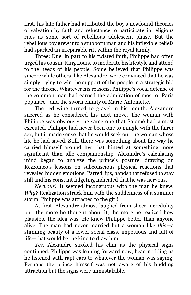first, his late father had attributed the boy's newfound theories of salvation by faith and reluctance to participate in religious rites as some sort of rebellious adolescent phase. But the rebellious boy grew into a stubborn man and his inflexible beliefs had sparked an irreparable rift within the royal family.

Three: Due, in part to his twisted faith, Philippe had often urged his cousin, King Louis, to moderate his lifestyle and attend to the needs of his people. Some believed that Philippe was sincere while others, like Alexandre, were convinced that he was simply trying to win the support of the people in a strategic bid for the throne. Whatever his reasons, Philippe's vocal defense of the common man had earned the admiration of most of Paris populace—and the sworn enmity of Marie-Antoinette.

The red wine turned to gravel in his mouth. Alexandre sneered as he considered his next move. The woman with Philippe was obviously the same one that Salomé had almost executed. Philippe had never been one to mingle with the fairer sex, but it made sense that he would seek out the woman whose life he had saved. Still, there was something about the way he carried himself around her that hinted at something more significant than idle companionship. Alexandre's calculating mind began to analyze the prince's posture, drawing on Rezzonico's lessons on subconscious physical reactions that revealed hidden emotions. Parted lips, hands that refused to stay still and his constant fidgeting indicated that he was nervous.

*Nervous?* It seemed incongruous with the man he knew. *Why?* Realization struck him with the suddenness of a summer storm. Philippe was attracted to the girl!

At first, Alexandre almost laughed from sheer incredulity but, the more he thought about it, the more he realized how plausible the idea was. He knew Philippe better than anyone alive. The man had never married but a woman like *this*—a stunning beauty of a lower social class, impetuous and full of life—that would be the kind to draw him.

*Yes.* Alexandre stroked his chin as the physical signs continued. Philippe was leaning forward now, head nodding as he listened with rapt ears to whatever the woman was saying. Perhaps the prince himself was not aware of his budding attraction but the signs were unmistakable.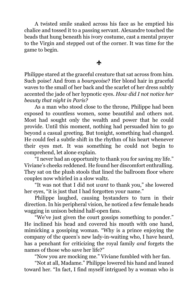A twisted smile snaked across his face as he emptied his chalice and tossed it to a passing servant. Alexandre touched the beads that hung beneath his ivory costume, cast a mental prayer to the Virgin and stepped out of the corner. It was time for the game to begin.

## $\mathbf{r}$

Philippe stared at the graceful creature that sat across from him. Such poise! And from a *bourgeoise*? Her blond hair in graceful waves to the small of her back and the scarlet of her dress subtly accented the jade of her hypnotic eyes. *How did I not notice her beauty that night in Paris?*

As a man who stood close to the throne, Philippe had been exposed to countless women, some beautiful and others not. Most had sought only the wealth and power that he could provide. Until this moment, nothing had persuaded him to go beyond a casual greeting. But tonight, something had changed. He could feel a subtle shift in the rhythm of his heart whenever their eyes met. It was something he could not begin to comprehend, let alone explain.

"I never had an opportunity to thank you for saving my life." Viviane's cheeks reddened. He found her discomfort enthralling. They sat on the plush stools that lined the ballroom floor where couples now whirled in a slow waltz.

"It was not that I did not *want* to thank you," she lowered her eyes, "it is just that I had forgotten your name."

Philippe laughed, causing bystanders to turn in their direction. In his peripheral vision, he noticed a few female heads wagging in unison behind half-open fans.

"We've just given the court gossips something to ponder." He inclined his head and covered his mouth with one hand, mimicking a gossiping woman. "Why is a prince enjoying the company of the queen's new lady-in-waiting who, I have heard, has a penchant for criticizing the royal family *and* forgets the names of those who save her life?"

"Now you are mocking me." Viviane fumbled with her fan.

"Not at all, Madame." Philippe lowered his hand and leaned toward her. "In fact, I find myself intrigued by a woman who is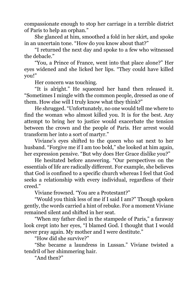compassionate enough to stop her carriage in a terrible district of Paris to help an orphan."

She glanced at him, smoothed a fold in her skirt, and spoke in an uncertain tone. "How do you know about that?"

"I returned the next day and spoke to a few who witnessed the debacle."

"You, a Prince of France, went into that place alone?" Her eyes widened and she licked her lips. "They could have killed you!"

Her concern was touching.

"It is alright." He squeezed her hand then released it. "Sometimes I mingle with the common people, dressed as one of them. How else will I truly know what they think?"

He shrugged. "Unfortunately, no one would tell me where to find the woman who almost killed you. It is for the best. Any attempt to bring her to justice would exacerbate the tension between the crown and the people of Paris. Her arrest would transform her into a sort of martyr."

Viviane's eyes shifted to the queen who sat next to her husband. "Forgive me if I am too bold," she looked at him again, her expression pensive. "But why does Her Grace dislike you?"

He hesitated before answering. "Our perspectives on the essentials of life are radically different. For example, she believes that God is confined to a specific church whereas I feel that God seeks a relationship with every individual, regardless of their creed."

Viviane frowned. "You are a Protestant?"

"Would you think less of me if I said I am?" Though spoken gently, the words carried a hint of rebuke. For a moment Viviane remained silent and shifted in her seat.

"When my father died in the stampede of Paris," a faraway look crept into her eyes, "I blamed God. I thought that I would never pray again. My mother and I were destitute."

"How did she survive?"

"She became a laundress in Lussan." Viviane twisted a tendril of her shimmering hair.

"And then?"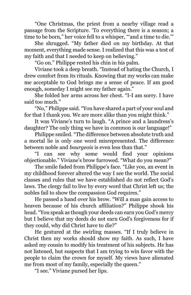"One Christmas, the priest from a nearby village read a passage from the Scripture. 'To everything there is a season; a time to be born," her voice fell to a whisper, "'and a time to die.'"

She shrugged. "My father died on my birthday. At that moment, everything made sense. I realized that this was a test of my faith and that I needed to keep on believing."

"Go on." Philippe rested his chin in his palm.

Viviane took a deep breath. "Instead of hating the Church, I drew comfort from its rituals. Knowing that my works can make me acceptable to God brings me a sense of peace. If am good enough, someday I might see my father again."

She folded her arms across her chest. "I-I am sorry. I have said too much."

"No," Philippe said. "You have shared a part of your soul and for that I thank you. We are more alike than you might think."

It was Viviane's turn to laugh. "A prince and a laundress's daughter? The only thing we have in common is our language!"

Philippe smiled. "The difference between absolute truth and a mortal lie is only one word misrepresented. The difference between noble and *bourgeois* is even less than that."

"I can see why some would find your opinions objectionable." Viviane's brow furrowed. "What do you mean?"

The smile faded from Philippe's face. "Like you, an event in my childhood forever altered the way I see the world. The social classes and rules that we have established do not reflect God's laws. The clergy fail to live by every word that Christ left us; the nobles fail to show the compassion God requires."

He passed a hand over his brow. "Will a man gain access to heaven because of his church affiliation?" Philippe shook his head. "You speak as though your deeds can earn you God's mercy but I believe that my deeds do not earn God's forgiveness for if they could, why did Christ have to die?"

He gestured at the swirling masses. "If I truly believe in Christ then my works should show my faith. As such, I have asked my cousin to modify his treatment of his subjects. He has not listened, but suspects that I am trying to win favor with the people to claim the crown for myself. My views have alienated me from most of my family, especially the queen."

"I see." Viviane pursed her lips.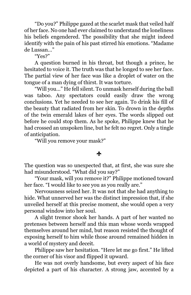"Do you?" Philippe gazed at the scarlet mask that veiled half of her face. No one had ever claimed to understand the loneliness his beliefs engendered. The possibility that she might indeed identify with the pain of his past stirred his emotions. "Madame de Lussan…"

"Yes?"

A question burned in his throat, but though a prince, he hesitated to voice it. The truth was that he longed to see her face. The partial view of her face was like a droplet of water on the tongue of a man dying of thirst. It was torture.

"Will you…" He fell silent. To unmask herself during the ball was taboo. Any spectators could easily draw the wrong conclusions. Yet he needed to see her again. To drink his fill of the beauty that radiated from her skin. To drown in the depths of the twin emerald lakes of her eyes. The words slipped out before he could stop them. As he spoke, Philippe knew that he had crossed an unspoken line, but he felt no regret. Only a tingle of anticipation.

"Will you remove your mask?"

### $\frac{1}{2}$

The question was so unexpected that, at first, she was sure she had misunderstood. "What did you say?"

"Your mask, will you remove it?" Philippe motioned toward her face. "I would like to see you as you really are."

Nervousness seized her. It was not that she had anything to hide. What unnerved her was the distinct impression that, if she unveiled herself at this precise moment, she would open a very personal window into her soul.

A slight tremor shook her hands. A part of her wanted no pretenses between herself and this man whose words wrapped themselves around her mind, but reason resisted the thought of exposing herself to him while those around remained hidden in a world of mystery and deceit.

Philippe saw her hesitation. "Here let me go first." He lifted the corner of his visor and flipped it upward.

He was not overly handsome, but every aspect of his face depicted a part of his character. A strong jaw, accented by a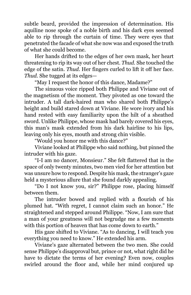subtle beard, provided the impression of determination. His aquiline nose spoke of a noble birth and his dark eyes seemed able to rip through the curtain of time. They were eyes that penetrated the facade of what she now was and exposed the truth of what she could become.

Her hands drifted to the edges of her own mask, her heart threatening to rip its way out of her chest. *Thud.* She touched the edge of the satin. *Thud.* Her fingers curled to lift it off her face. *Thud.* She tugged at its edges—

"May I request the honor of this dance, Madame?"

The sinuous voice ripped both Philippe and Viviane out of the magnetism of the moment. They pivoted as one toward the intruder. A tall dark-haired man who shared both Philippe's height and build stared down at Viviane. He wore ivory and his hand rested with easy familiarity upon the hilt of a sheathed sword. Unlike Philippe, whose mask had barely covered his eyes, this man's mask extended from his dark hairline to his lips, leaving only his eyes, mouth and strong chin visible.

"Would you honor me with this dance?"

Viviane looked at Philippe who said nothing, but pinned the intruder with his gaze.

"I-I am no dancer, Monsieur." She felt flattered that in the space of only twenty minutes, two men vied for her attention but was unsure how to respond. Despite his mask, the stranger's gaze held a mysterious allure that she found darkly appealing*.*

"Do I not know you, sir?" Philippe rose, placing himself between them.

The intruder bowed and replied with a flourish of his plumed hat. "With regret, I cannot claim such an honor." He straightened and stepped around Philippe. "Now, I am sure that a man of your greatness will not begrudge me a few moments with this portion of heaven that has come down to earth."

His gaze shifted to Viviane. "As to dancing, I will teach you everything you need to know." He extended his arm.

Viviane's gaze alternated between the two men. She could sense Philippe's disapproval but, prince or not, what right did he have to dictate the terms of her evening? Even now, couples swirled around the floor and, while her mind conjured up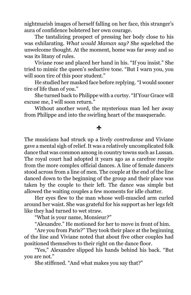nightmarish images of herself falling on her face, this stranger's aura of confidence bolstered her own courage.

The tantalizing prospect of pressing her body close to his was exhilarating. *What would Maman say?* She squelched the unwelcome thought. At the moment, home was far away and so was its litany of rules.

Viviane rose and placed her hand in his. "If you insist." She tried to mimic the queen's seductive tone. "But I warn you, you will soon tire of this poor student."

He studied her masked face before replying. "I would sooner tire of life than of you."

She turned back to Philippe with a curtsy. "If Your Grace will excuse me, I will soon return."

Without another word, the mysterious man led her away from Philippe and into the swirling heart of the masquerade.

#### d.

The musicians had struck up a lively *contredanse* and Viviane gave a mental sigh of relief. It was a relatively uncomplicated folk dance that was common among in country towns such as Lussan. The royal court had adopted it years ago as a carefree respite from the more complex official dances. A line of female dancers stood across from a line of men. The couple at the end of the line danced down to the beginning of the group and their place was taken by the couple to their left. The dance was simple but allowed the waiting couples a few moments for idle chatter.

Her eyes flew to the man whose well-muscled arm curled around her waist. She was grateful for his support as her legs felt like they had turned to wet straw.

"What is your name, Monsieur*?"*

"Alexandre." He motioned for her to move in front of him.

"Are you from Paris?" They took their place at the beginning of the line and Viviane noted that about five other couples had positioned themselves to their right on the dance floor.

"Yes," Alexandre slipped his hands behind his back. "But you are not."

She stiffened. "And what makes you say that?"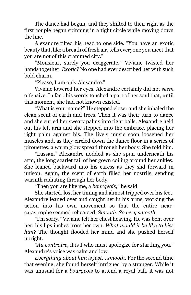The dance had begun, and they shifted to their right as the first couple began spinning in a tight circle while moving down the line.

Alexandre tilted his head to one side. "You have an exotic beauty that, like a breath of fresh air, tells everyone you meet that you are not of this crammed city."

"Monsieur, surely you exaggerate." Viviane twisted her hands together. *Exotic?* No one had ever described her with such bold charm.

"Please, I am only Alexandre."

Viviane lowered her eyes. Alexandre certainly did not *seem* offensive. In fact, his words touched a part of her soul that, until this moment, she had not known existed.

"What is your name?" He stepped closer and she inhaled the clean scent of earth and trees. Then it was their turn to dance and she curled her sweaty palms into tight balls. Alexandre held out his left arm and she stepped into the embrace, placing her right palm against his. The lively music soon loosened her muscles and, as they circled down the dance floor in a series of pirouettes, a warm glow spread through her body. She told him.

"Lussan." Alexandre nodded as she spun underneath his arm, the long scarlet tail of her gown coiling around her ankles. She leaned backward into his caress as they slid forward in unison. Again, the scent of earth filled her nostrils, sending warmth radiating through her body.

"Then you are like me, a *bourgeois*," he said.

She started, lost her timing and almost tripped over his feet. Alexandre leaned over and caught her in his arms, working the action into his own movement so that the entire nearcatastrophe seemed rehearsed. *Smooth. So very smooth.*

"I'm sorry." Viviane felt her chest heaving. He was bent over her, his lips inches from her own. *What would it be like to kiss him?* The thought flooded her mind and she pushed herself upright.

"*Au contraire,* it is I who must apologize for startling you." Alexandre's voice was calm and low.

*Everything about him is just… smooth.* For the second time that evening, she found herself intrigued by a stranger. While it was unusual for a *bourgeois* to attend a royal ball, it was not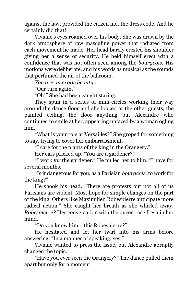against the law, provided the citizen met the dress code. And he certainly did that!

Viviane's eyes roamed over his body. She was drawn by the dark atmosphere of raw masculine power that radiated from each movement he made. Her head barely crested his shoulder giving her a sense of security. He held himself erect with a confidence that was not often seen among the *bourgeois*. His motions were deliberate, and his words as musical as the sounds that perfumed the air of the ballroom.

*You are an exotic beauty...*

"Our turn again."

"Oh!" She had been caught staring.

They spun in a series of mini-circles working their way around the dance floor and she looked at the other guests, the painted ceiling, the floor—anything but Alexandre who continued to smile at her, appearing unfazed by a woman ogling him.

"What is your role at Versailles?" She groped for something to say, trying to cover her embarrassment.

"I care for the plants of the king in the Orangery."

Her ears pricked up. "You are a gardener?"

"I work *for* the gardener." He pulled her to him. "I have for several months."

"Is it dangerous for you, as a Parisian *bourgeois*, to work for the king?"

He shook his head. "There are protests but not all of us Parisians are violent. Most hope for simple changes on the part of the king. Others like Maximilien Robespierre anticipate more radical action." She caught her breath as she whirled away. *Robespierre?* Her conversation with the queen rose fresh in her mind.

"Do you know him… this Robespierre?"

He hesitated and let her twirl into his arms before answering. "In a manner of speaking, yes."

Viviane wanted to press the issue, but Alexandre abruptly changed the topic.

"Have you ever seen the Orangery?" The dance pulled them apart but only for a moment.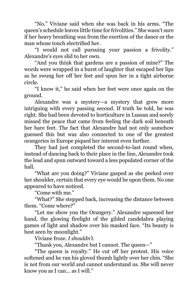"No," Viviane said when she was back in his arms. "The queen's schedule leaves little time for frivolities." She wasn't sure if her heavy breathing was from the exertion of the dance or the man whose touch electrified her.

"I would not call pursuing your passion a frivolity." Alexandre's eyes slid to her own.

"And you think that gardens are a passion of mine?" The words were wrapped in a burst of laughter that escaped her lips as he swung her off her feet and spun her in a tight airborne circle.

"I know it," he said when her feet were once again on the ground.

Alexandre was a mystery—a mystery that grew more intriguing with every passing second. If truth be told, he was right. She had been devoted to horticulture in Lussan and sorely missed the peace that came from feeling the dark soil beneath her bare feet. The fact that Alexandre had not only somehow guessed this but was also connected to one of the greatest orangeries in Europe piqued her interest even further.

They had just completed the second-to-last round when, instead of dancing back to their place in the line, Alexandre took the lead and spun outward toward a less populated corner of the hall.

"What are you doing?" Viviane gasped as she peeked over her shoulder, certain that every eye would be upon them. No one appeared to have noticed.

"Come with me."

"What?" She stepped back, increasing the distance between them. "Come where?"

"Let me show you the Orangery." Alexandre squeezed her hand, the glowing firelight of the gilded candelabra playing games of light and shadow over his masked face. "Its beauty is best seen by moonlight."

Viviane froze. *I shouldn't.*

"Thank you, Alexandre but I cannot. The queen—"

"The queen is royalty." He cut off her protest. His voice softened and he ran his gloved thumb lightly over her chin. "She is not from our world and cannot understand us. She will never know you as I can... as I will."